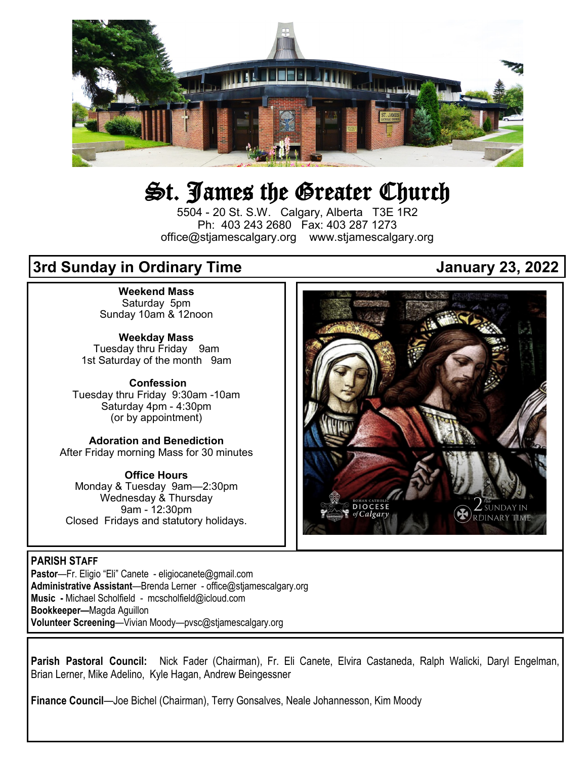

# St. James the Greater Church

5504 - 20 St. S.W. Calgary, Alberta T3E 1R2 Ph: 403 243 2680 Fax: 403 287 1273 office@stjamescalgary.org www.stjamescalgary.org

## **3rd Sunday in Ordinary Time January 23, 2022**

**Weekend Mass** Saturday 5pm Sunday 10am & 12noon

**Weekday Mass** Tuesday thru Friday 9am 1st Saturday of the month 9am

**Confession** Tuesday thru Friday 9:30am -10am Saturday 4pm - 4:30pm (or by appointment)

**Adoration and Benediction**  After Friday morning Mass for 30 minutes

**Office Hours**  Monday & Tuesday 9am—2:30pm Wednesday & Thursday 9am - 12:30pm Closed Fridays and statutory holidays.

#### **PARISH STAFF**

**Pastor**—Fr. Eligio "Eli" Canete - eligiocanete@gmail.com **Administrative Assistant**—Brenda Lerner - office@stjamescalgary.org **Music -** Michael Scholfield - mcscholfield@icloud.com **Bookkeeper—**Magda Aguillon **Volunteer Screening**—Vivian Moody—pvsc@stjamescalgary.org

**Parish Pastoral Council:** Nick Fader (Chairman), Fr. Eli Canete, Elvira Castaneda, Ralph Walicki, Daryl Engelman, Brian Lerner, Mike Adelino, Kyle Hagan, Andrew Beingessner

**Finance Council**—Joe Bichel (Chairman), Terry Gonsalves, Neale Johannesson, Kim Moody

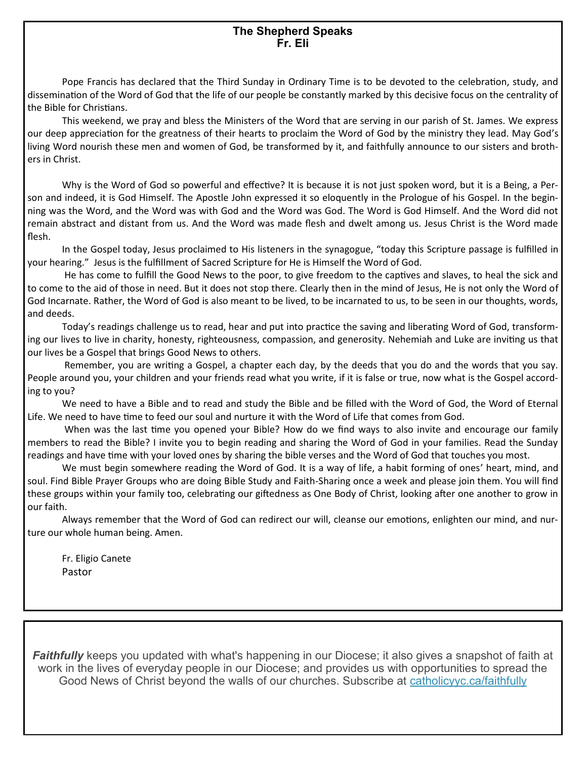#### **The Shepherd Speaks Fr. Eli**

Pope Francis has declared that the Third Sunday in Ordinary Time is to be devoted to the celebration, study, and dissemination of the Word of God that the life of our people be constantly marked by this decisive focus on the centrality of the Bible for Christians.

This weekend, we pray and bless the Ministers of the Word that are serving in our parish of St. James. We express our deep appreciation for the greatness of their hearts to proclaim the Word of God by the ministry they lead. May God's living Word nourish these men and women of God, be transformed by it, and faithfully announce to our sisters and brothers in Christ.

Why is the Word of God so powerful and effective? It is because it is not just spoken word, but it is a Being, a Person and indeed, it is God Himself. The Apostle John expressed it so eloquently in the Prologue of his Gospel. In the beginning was the Word, and the Word was with God and the Word was God. The Word is God Himself. And the Word did not remain abstract and distant from us. And the Word was made flesh and dwelt among us. Jesus Christ is the Word made flesh.

In the Gospel today, Jesus proclaimed to His listeners in the synagogue, "today this Scripture passage is fulfilled in your hearing." Jesus is the fulfillment of Sacred Scripture for He is Himself the Word of God.

He has come to fulfill the Good News to the poor, to give freedom to the captives and slaves, to heal the sick and to come to the aid of those in need. But it does not stop there. Clearly then in the mind of Jesus, He is not only the Word of God Incarnate. Rather, the Word of God is also meant to be lived, to be incarnated to us, to be seen in our thoughts, words, and deeds.

Today's readings challenge us to read, hear and put into practice the saving and liberating Word of God, transforming our lives to live in charity, honesty, righteousness, compassion, and generosity. Nehemiah and Luke are inviting us that our lives be a Gospel that brings Good News to others.

Remember, you are writing a Gospel, a chapter each day, by the deeds that you do and the words that you say. People around you, your children and your friends read what you write, if it is false or true, now what is the Gospel according to you?

We need to have a Bible and to read and study the Bible and be filled with the Word of God, the Word of Eternal Life. We need to have time to feed our soul and nurture it with the Word of Life that comes from God.

When was the last time you opened your Bible? How do we find ways to also invite and encourage our family members to read the Bible? I invite you to begin reading and sharing the Word of God in your families. Read the Sunday readings and have time with your loved ones by sharing the bible verses and the Word of God that touches you most.

We must begin somewhere reading the Word of God. It is a way of life, a habit forming of ones' heart, mind, and soul. Find Bible Prayer Groups who are doing Bible Study and Faith-Sharing once a week and please join them. You will find these groups within your family too, celebrating our giftedness as One Body of Christ, looking after one another to grow in our faith.

Always remember that the Word of God can redirect our will, cleanse our emotions, enlighten our mind, and nurture our whole human being. Amen.

Fr. Eligio Canete Pastor

**Faithfully** keeps you updated with what's happening in our Diocese; it also gives a snapshot of faith at work in the lives of everyday people in our Diocese; and provides us with opportunities to spread the Good News of Christ beyond the walls of our churches. Subscribe at [catholicyyc.ca/faithfully](https://calgarydiocese.us2.list-manage.com/track/click?u=b94c6c43263afb74033548543&id=e268ddb20d&e=093ec8e0d1)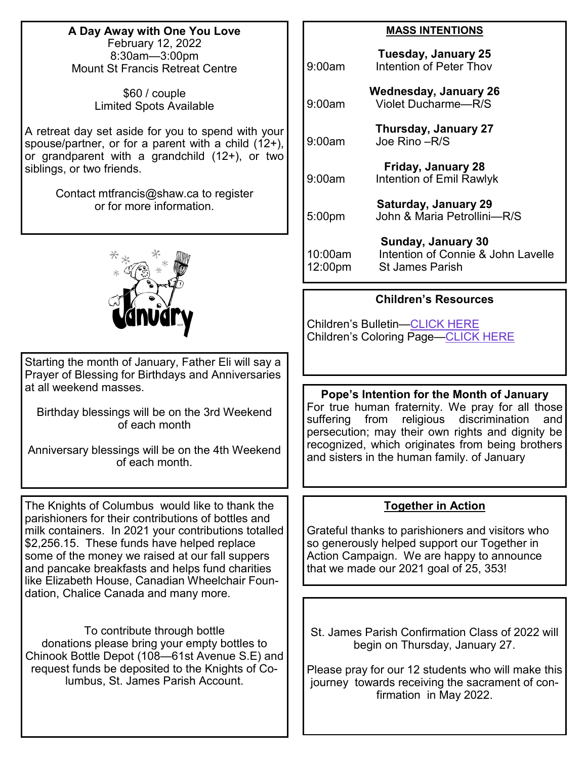**A Day Away with One You Love** February 12, 2022 8:30am—3:00pm Mount St Francis Retreat Centre

> \$60 / couple Limited Spots Available

A retreat day set aside for you to spend with your spouse/partner, or for a parent with a child (12+), or grandparent with a grandchild (12+), or two siblings, or two friends.

> Contact mtfrancis@shaw.ca to register or for more information.



Starting the month of January, Father Eli will say a Prayer of Blessing for Birthdays and Anniversaries at all weekend masses.

Birthday blessings will be on the 3rd Weekend of each month

Anniversary blessings will be on the 4th Weekend of each month.

The Knights of Columbus would like to thank the parishioners for their contributions of bottles and milk containers. In 2021 your contributions totalled \$2,256.15. These funds have helped replace some of the money we raised at our fall suppers and pancake breakfasts and helps fund charities like Elizabeth House, Canadian Wheelchair Foundation, Chalice Canada and many more.

To contribute through bottle donations please bring your empty bottles to Chinook Bottle Depot (108—61st Avenue S.E) and request funds be deposited to the Knights of Columbus, St. James Parish Account.

#### **MASS INTENTIONS**

| 9:00am             | <b>Tuesday, January 25</b><br>Intention of Peter Thov                                     |
|--------------------|-------------------------------------------------------------------------------------------|
| 9:00am             | <b>Wednesday, January 26</b><br><b>Violet Ducharme-R/S</b>                                |
| 9:00am             | <b>Thursday, January 27</b><br>Joe Rino - R/S                                             |
| 9:00am             | <b>Friday, January 28</b><br><b>Intention of Emil Rawlyk</b>                              |
| 5:00pm             | <b>Saturday, January 29</b><br>John & Maria Petrollini-R/S                                |
| 10:00am<br>12:00pm | <b>Sunday, January 30</b><br>Intention of Connie & John Lavelle<br><b>St James Parish</b> |

#### **Children's Resources**

Children's Bulletin[—CLICK HERE](https://thekidsbulletin.files.wordpress.com/2021/12/the-kids-bulletin-2nd-sunday.pdf) Children's Coloring Page—[CLICK HERE](https://cafod.org.uk/content/download/7325/60583/version/6/file/Prayer_childrens-liturgy_2nd-Sunday-Ordinary-Time-pic-C.pdf)

**Pope's Intention for the Month of January**  For true human fraternity. We pray for all those suffering from religious discrimination and persecution; may their own rights and dignity be recognized, which originates from being brothers and sisters in the human family. of January

#### **Together in Action**

Grateful thanks to parishioners and visitors who so generously helped support our Together in Action Campaign. We are happy to announce that we made our 2021 goal of 25, 353!

St. James Parish Confirmation Class of 2022 will begin on Thursday, January 27.

Please pray for our 12 students who will make this journey towards receiving the sacrament of confirmation in May 2022.